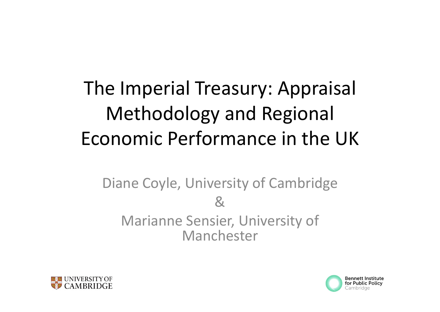## The Imperial Treasury: Appraisal Methodology and Regional Economic Performance in the UK

### Diane Coyle, University of Cambridge &Marianne Sensier, University of Manchester



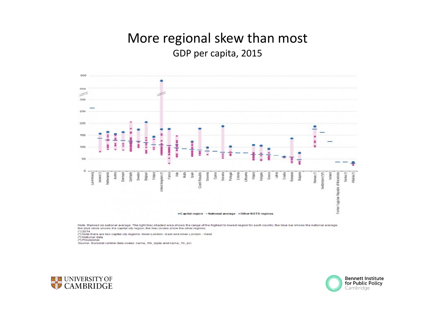#### More regional skew than most GDP per capita, 2015



Note: Ranked on national average: The light lifac shaded area shows the range of the highest to lowest region for each country. the blue bar shows the national average the blue circle shows the capital city region; the lifac circles show the other regions.

(\*) 2014.<br>(\*) Note there are two capital city regions: Inner London - East and Inner London - West

(\*) National data.

(\*) Provisional. Source: Eurostat (online data codes: nama\_10r\_2gdp and nama\_10\_pc)



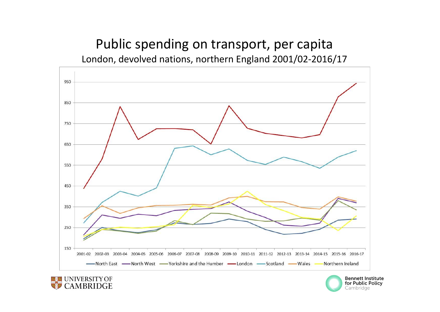#### Public spending on transport, per capita London, devolved nations, northern England 2001/02‐2016/17





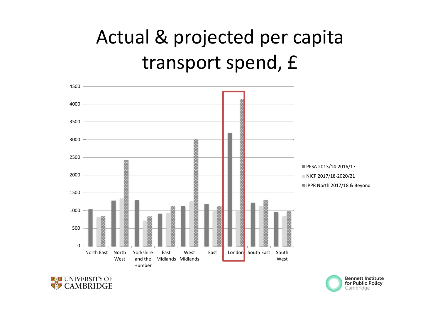## Actual & projected per capita transport spend, £





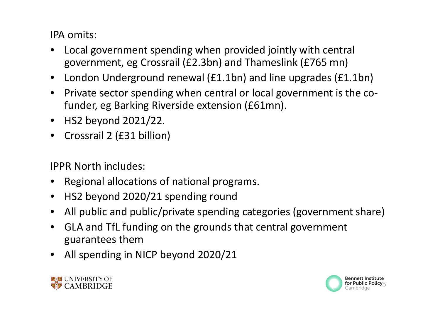IPA omits:

- • Local government spending when provided jointly with central government, eg Crossrail (£2.3bn) and Thameslink (£765 mn)
- $\bullet$ London Underground renewal (£1.1bn) and line upgrades (£1.1bn)
- •● Private sector spending when central or local government is the cofunder, eg Barking Riverside extension (£61mn).
- HS2 beyond 2021/22.
- •Crossrail 2 (£31 billion)

IPPR North includes:

- •Regional allocations of national programs.
- $\bullet$ HS2 beyond 2020/21 spending round
- $\bullet$ All public and public/private spending categories (government share)
- • GLA and TfL funding on the grounds that central government guarantees them
- $\bullet$ All spending in NICP beyond 2020/21



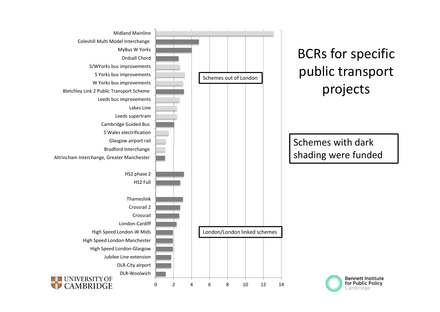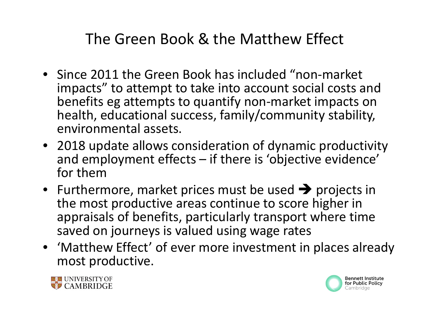### The Green Book & the Matthew Effect

- Since 2011 the Green Book has included "non‐market impacts" to attempt to take into account social costs and benefits eg attempts to quantify non‐market impacts on health, educational success, family/community stability, environmental assets.
- 2018 update allows consideration of dynamic productivity and employment effects – if there is 'objective evidence' for them
- Furthermore, market prices must be used  $\rightarrow$  projects in the most productive areas continue to score higher in appraisals of benefits, particularly transport where time saved on journeys is valued using wage rates
- 'Matthew Effect' of ever more investment in places already most productive.



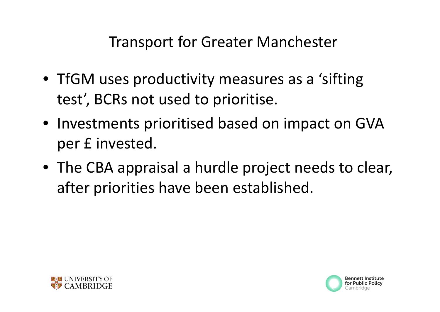Transport for Greater Manchester

- TfGM uses productivity measures as <sup>a</sup> 'sifting test', BCRs not used to prioritise.
- Investments prioritised based on impact on GVA per £ invested.
- The CBA appraisal <sup>a</sup> hurdle project needs to clear, after priorities have been established.